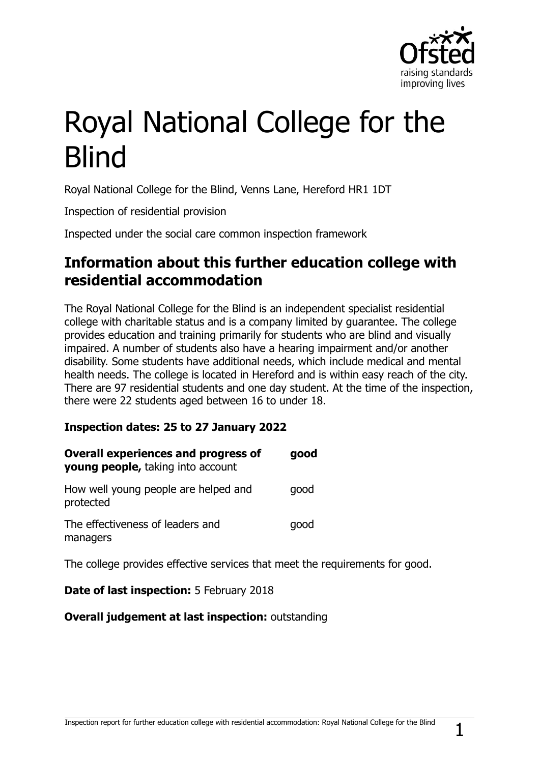

# Royal National College for the Blind

Royal National College for the Blind, Venns Lane, Hereford HR1 1DT

Inspection of residential provision

Inspected under the social care common inspection framework

## **Information about this further education college with residential accommodation**

The Royal National College for the Blind is an independent specialist residential college with charitable status and is a company limited by guarantee. The college provides education and training primarily for students who are blind and visually impaired. A number of students also have a hearing impairment and/or another disability. Some students have additional needs, which include medical and mental health needs. The college is located in Hereford and is within easy reach of the city. There are 97 residential students and one day student. At the time of the inspection, there were 22 students aged between 16 to under 18.

#### **Inspection dates: 25 to 27 January 2022**

| <b>Overall experiences and progress of</b><br>young people, taking into account | good |
|---------------------------------------------------------------------------------|------|
| How well young people are helped and<br>protected                               | good |
| The effectiveness of leaders and<br>managers                                    | good |

The college provides effective services that meet the requirements for good.

#### **Date of last inspection:** 5 February 2018

#### **Overall judgement at last inspection:** outstanding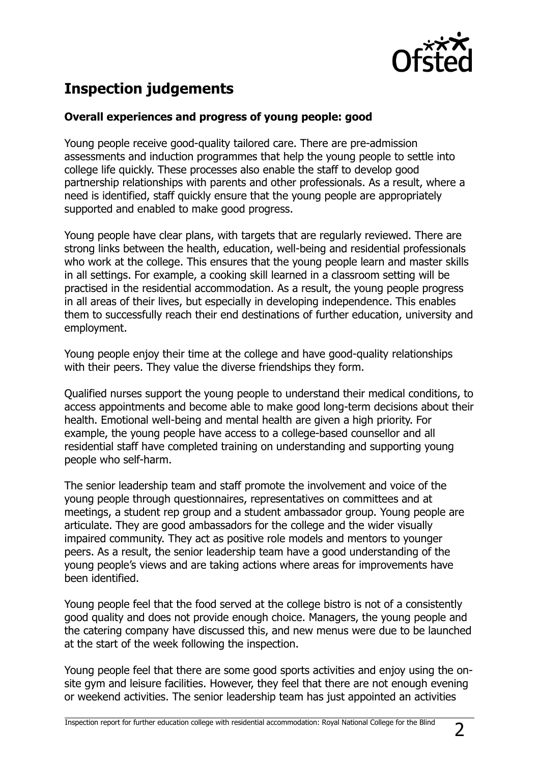

## **Inspection judgements**

#### **Overall experiences and progress of young people: good**

Young people receive good-quality tailored care. There are pre-admission assessments and induction programmes that help the young people to settle into college life quickly. These processes also enable the staff to develop good partnership relationships with parents and other professionals. As a result, where a need is identified, staff quickly ensure that the young people are appropriately supported and enabled to make good progress.

Young people have clear plans, with targets that are regularly reviewed. There are strong links between the health, education, well-being and residential professionals who work at the college. This ensures that the young people learn and master skills in all settings. For example, a cooking skill learned in a classroom setting will be practised in the residential accommodation. As a result, the young people progress in all areas of their lives, but especially in developing independence. This enables them to successfully reach their end destinations of further education, university and employment.

Young people enjoy their time at the college and have good-quality relationships with their peers. They value the diverse friendships they form.

Qualified nurses support the young people to understand their medical conditions, to access appointments and become able to make good long-term decisions about their health. Emotional well-being and mental health are given a high priority. For example, the young people have access to a college-based counsellor and all residential staff have completed training on understanding and supporting young people who self-harm.

The senior leadership team and staff promote the involvement and voice of the young people through questionnaires, representatives on committees and at meetings, a student rep group and a student ambassador group. Young people are articulate. They are good ambassadors for the college and the wider visually impaired community. They act as positive role models and mentors to younger peers. As a result, the senior leadership team have a good understanding of the young people's views and are taking actions where areas for improvements have been identified.

Young people feel that the food served at the college bistro is not of a consistently good quality and does not provide enough choice. Managers, the young people and the catering company have discussed this, and new menus were due to be launched at the start of the week following the inspection.

Young people feel that there are some good sports activities and enjoy using the onsite gym and leisure facilities. However, they feel that there are not enough evening or weekend activities. The senior leadership team has just appointed an activities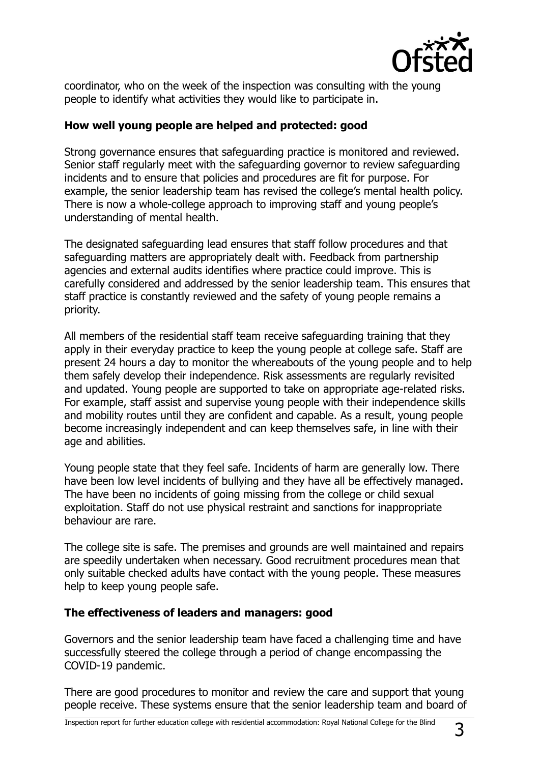

coordinator, who on the week of the inspection was consulting with the young people to identify what activities they would like to participate in.

#### **How well young people are helped and protected: good**

Strong governance ensures that safeguarding practice is monitored and reviewed. Senior staff regularly meet with the safeguarding governor to review safeguarding incidents and to ensure that policies and procedures are fit for purpose. For example, the senior leadership team has revised the college's mental health policy. There is now a whole-college approach to improving staff and young people's understanding of mental health.

The designated safeguarding lead ensures that staff follow procedures and that safeguarding matters are appropriately dealt with. Feedback from partnership agencies and external audits identifies where practice could improve. This is carefully considered and addressed by the senior leadership team. This ensures that staff practice is constantly reviewed and the safety of young people remains a priority.

All members of the residential staff team receive safeguarding training that they apply in their everyday practice to keep the young people at college safe. Staff are present 24 hours a day to monitor the whereabouts of the young people and to help them safely develop their independence. Risk assessments are regularly revisited and updated. Young people are supported to take on appropriate age-related risks. For example, staff assist and supervise young people with their independence skills and mobility routes until they are confident and capable. As a result, young people become increasingly independent and can keep themselves safe, in line with their age and abilities.

Young people state that they feel safe. Incidents of harm are generally low. There have been low level incidents of bullying and they have all be effectively managed. The have been no incidents of going missing from the college or child sexual exploitation. Staff do not use physical restraint and sanctions for inappropriate behaviour are rare.

The college site is safe. The premises and grounds are well maintained and repairs are speedily undertaken when necessary. Good recruitment procedures mean that only suitable checked adults have contact with the young people. These measures help to keep young people safe.

#### **The effectiveness of leaders and managers: good**

Governors and the senior leadership team have faced a challenging time and have successfully steered the college through a period of change encompassing the COVID-19 pandemic.

There are good procedures to monitor and review the care and support that young people receive. These systems ensure that the senior leadership team and board of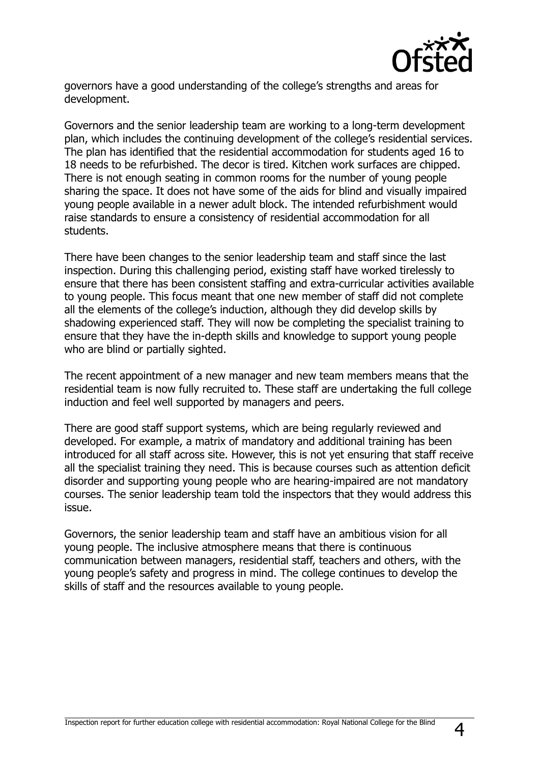

governors have a good understanding of the college's strengths and areas for development.

Governors and the senior leadership team are working to a long-term development plan, which includes the continuing development of the college's residential services. The plan has identified that the residential accommodation for students aged 16 to 18 needs to be refurbished. The decor is tired. Kitchen work surfaces are chipped. There is not enough seating in common rooms for the number of young people sharing the space. It does not have some of the aids for blind and visually impaired young people available in a newer adult block. The intended refurbishment would raise standards to ensure a consistency of residential accommodation for all students.

There have been changes to the senior leadership team and staff since the last inspection. During this challenging period, existing staff have worked tirelessly to ensure that there has been consistent staffing and extra-curricular activities available to young people. This focus meant that one new member of staff did not complete all the elements of the college's induction, although they did develop skills by shadowing experienced staff. They will now be completing the specialist training to ensure that they have the in-depth skills and knowledge to support young people who are blind or partially sighted.

The recent appointment of a new manager and new team members means that the residential team is now fully recruited to. These staff are undertaking the full college induction and feel well supported by managers and peers.

There are good staff support systems, which are being regularly reviewed and developed. For example, a matrix of mandatory and additional training has been introduced for all staff across site. However, this is not yet ensuring that staff receive all the specialist training they need. This is because courses such as attention deficit disorder and supporting young people who are hearing-impaired are not mandatory courses. The senior leadership team told the inspectors that they would address this issue.

Governors, the senior leadership team and staff have an ambitious vision for all young people. The inclusive atmosphere means that there is continuous communication between managers, residential staff, teachers and others, with the young people's safety and progress in mind. The college continues to develop the skills of staff and the resources available to young people.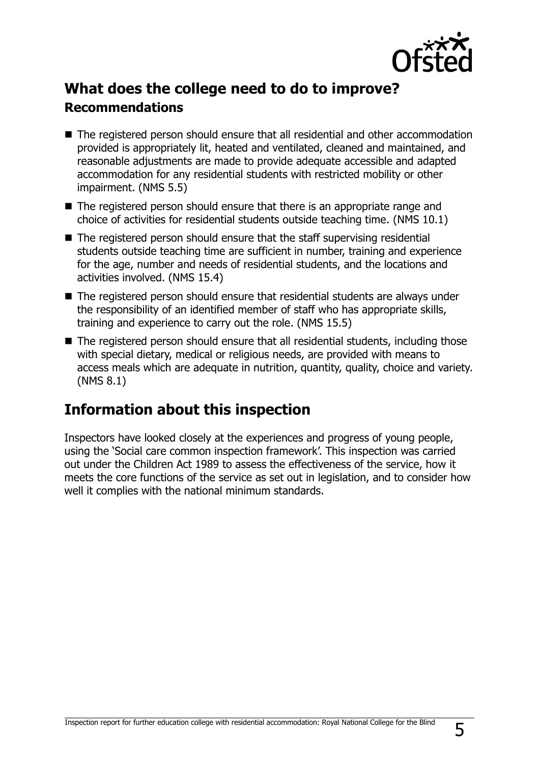

## **What does the college need to do to improve? Recommendations**

- The registered person should ensure that all residential and other accommodation provided is appropriately lit, heated and ventilated, cleaned and maintained, and reasonable adjustments are made to provide adequate accessible and adapted accommodation for any residential students with restricted mobility or other impairment. (NMS 5.5)
- The registered person should ensure that there is an appropriate range and choice of activities for residential students outside teaching time. (NMS 10.1)
- The registered person should ensure that the staff supervising residential students outside teaching time are sufficient in number, training and experience for the age, number and needs of residential students, and the locations and activities involved. (NMS 15.4)
- The registered person should ensure that residential students are always under the responsibility of an identified member of staff who has appropriate skills, training and experience to carry out the role. (NMS 15.5)
- The registered person should ensure that all residential students, including those with special dietary, medical or religious needs, are provided with means to access meals which are adequate in nutrition, quantity, quality, choice and variety. (NMS 8.1)

## **Information about this inspection**

Inspectors have looked closely at the experiences and progress of young people, using the 'Social care common inspection framework'. This inspection was carried out under the Children Act 1989 to assess the effectiveness of the service, how it meets the core functions of the service as set out in legislation, and to consider how well it complies with the national minimum standards.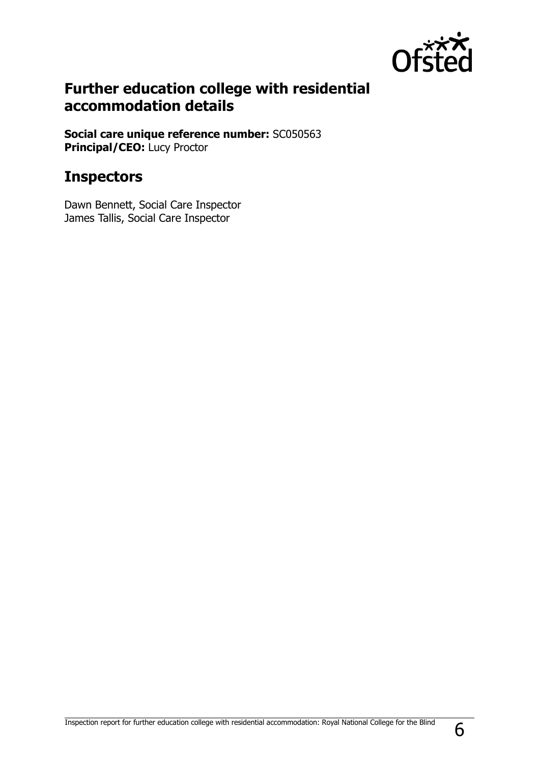

## **Further education college with residential accommodation details**

**Social care unique reference number:** SC050563 **Principal/CEO:** Lucy Proctor

## **Inspectors**

Dawn Bennett, Social Care Inspector James Tallis, Social Care Inspector